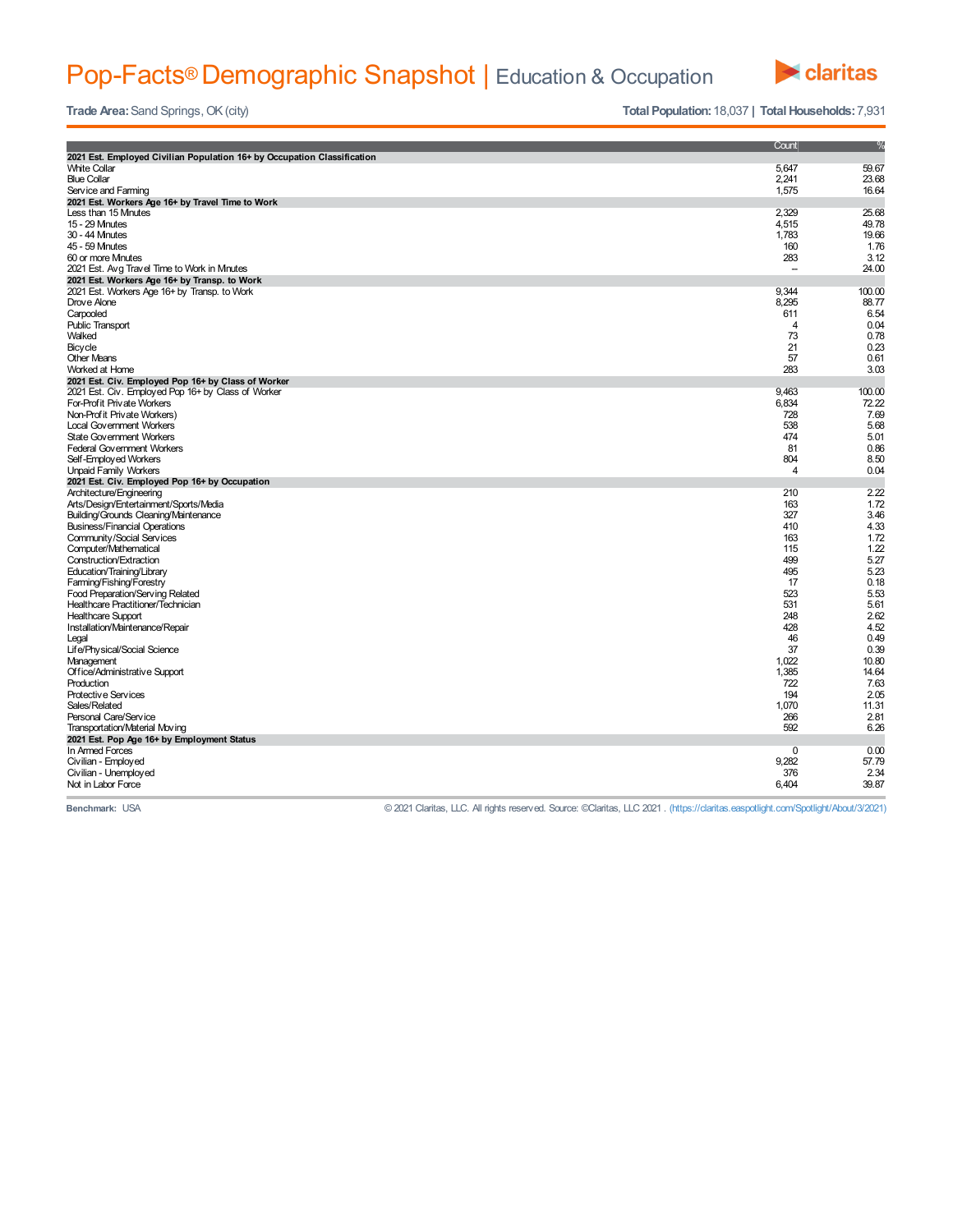## Pop-Facts® Demographic Snapshot | Education & Occupation



**Trade Area:** Sand Springs, OK (city) **Trade** Area: Sand Springs, OK (city) **Total Population:** 18,037 **| Total Households:** 7,931

|                                                                         | Count          | %      |
|-------------------------------------------------------------------------|----------------|--------|
| 2021 Est. Employed Civilian Population 16+ by Occupation Classification |                |        |
| <b>White Collar</b>                                                     | 5,647          | 59.67  |
| <b>Blue Collar</b>                                                      |                | 23.68  |
|                                                                         | 2,241          |        |
| Service and Farming                                                     | 1,575          | 16.64  |
| 2021 Est. Workers Age 16+ by Travel Time to Work                        |                |        |
| Less than 15 Mnutes                                                     | 2,329          | 25.68  |
| 15 - 29 Mnutes                                                          | 4,515          | 49.78  |
| 30 - 44 Mnutes                                                          | 1,783          | 19.66  |
| 45 - 59 Mnutes                                                          | 160            | 1.76   |
| 60 or more Minutes                                                      | 283            | 3.12   |
| 2021 Est. Avg Travel Time to Work in Minutes                            | $\overline{a}$ | 24.00  |
| 2021 Est. Workers Age 16+ by Transp. to Work                            |                |        |
| 2021 Est. Workers Age 16+ by Transp. to Work                            | 9,344          | 100.00 |
| Drove Alone                                                             | 8,295          | 88.77  |
| Carpooled                                                               | 611            | 6.54   |
| <b>Public Transport</b>                                                 | 4              | 0.04   |
| Walked                                                                  | 73             | 0.78   |
| Bicycle                                                                 | 21             | 0.23   |
| <b>Other Means</b>                                                      | 57             | 0.61   |
| Worked at Home                                                          | 283            | 3.03   |
| 2021 Est. Civ. Employed Pop 16+ by Class of Worker                      |                |        |
| 2021 Est. Civ. Employed Pop 16+ by Class of Worker                      | 9,463          | 100.00 |
| For-Profit Private Workers                                              | 6,834          | 72.22  |
| Non-Prof it Private Workers)                                            | 728            | 7.69   |
| <b>Local Government Workers</b>                                         | 538            | 5.68   |
| <b>State Government Workers</b>                                         | 474            | 5.01   |
| <b>Federal Government Workers</b>                                       | 81             | 0.86   |
| Self-Employed Workers                                                   | 804            | 8.50   |
| <b>Unpaid Family Workers</b>                                            | 4              | 0.04   |
|                                                                         |                |        |
| 2021 Est. Civ. Employed Pop 16+ by Occupation                           |                |        |
|                                                                         |                |        |
| Architecture/Engineering                                                | 210            | 2.22   |
| Arts/Design/Entertainment/Sports/Media                                  | 163            | 1.72   |
| Building/Grounds Cleaning/Maintenance                                   | 327            | 3.46   |
| <b>Business/Financial Operations</b>                                    | 410            | 4.33   |
| Community/Social Services                                               | 163            | 1.72   |
| Computer/Mathematical                                                   | 115            | 1.22   |
| Construction/Extraction                                                 | 499            | 5.27   |
| Education/Training/Library                                              | 495            | 5.23   |
| Farming/Fishing/Forestry                                                | 17             | 0.18   |
| Food Preparation/Serving Related                                        | 523            | 5.53   |
| Healthcare Practitioner/Technician                                      | 531            | 5.61   |
| <b>Healthcare Support</b>                                               | 248            | 2.62   |
| Installation/Maintenance/Repair                                         | 428            | 4.52   |
| Legal                                                                   | 46             | 0.49   |
| Life/Physical/Social Science                                            | 37             | 0.39   |
| Management                                                              | 1,022          | 10.80  |
| Office/Administrative Support                                           | 1,385          | 14.64  |
| Production                                                              | 722            | 7.63   |
| Protective Services                                                     | 194            | 2.05   |
| Sales/Related                                                           | 1,070          | 11.31  |
| Personal Care/Service                                                   | 266            | 2.81   |
| Transportation/Material Moving                                          | 592            | 6.26   |
|                                                                         |                |        |
| 2021 Est. Pop Age 16+ by Employment Status<br>In Armed Forces           | $\Omega$       | 0.00   |
|                                                                         |                | 57.79  |
| Civilian - Employed                                                     | 9,282<br>376   | 2.34   |
| Civilian - Unemployed<br>Not in Labor Force                             | 6.404          | 39.87  |

**Benchmark:** USA © 2021 Claritas, LLC. All rights reserved. Source: ©Claritas, LLC 2021 . (https://claritas.easpotlight.com/Spotlight/About/3/2021)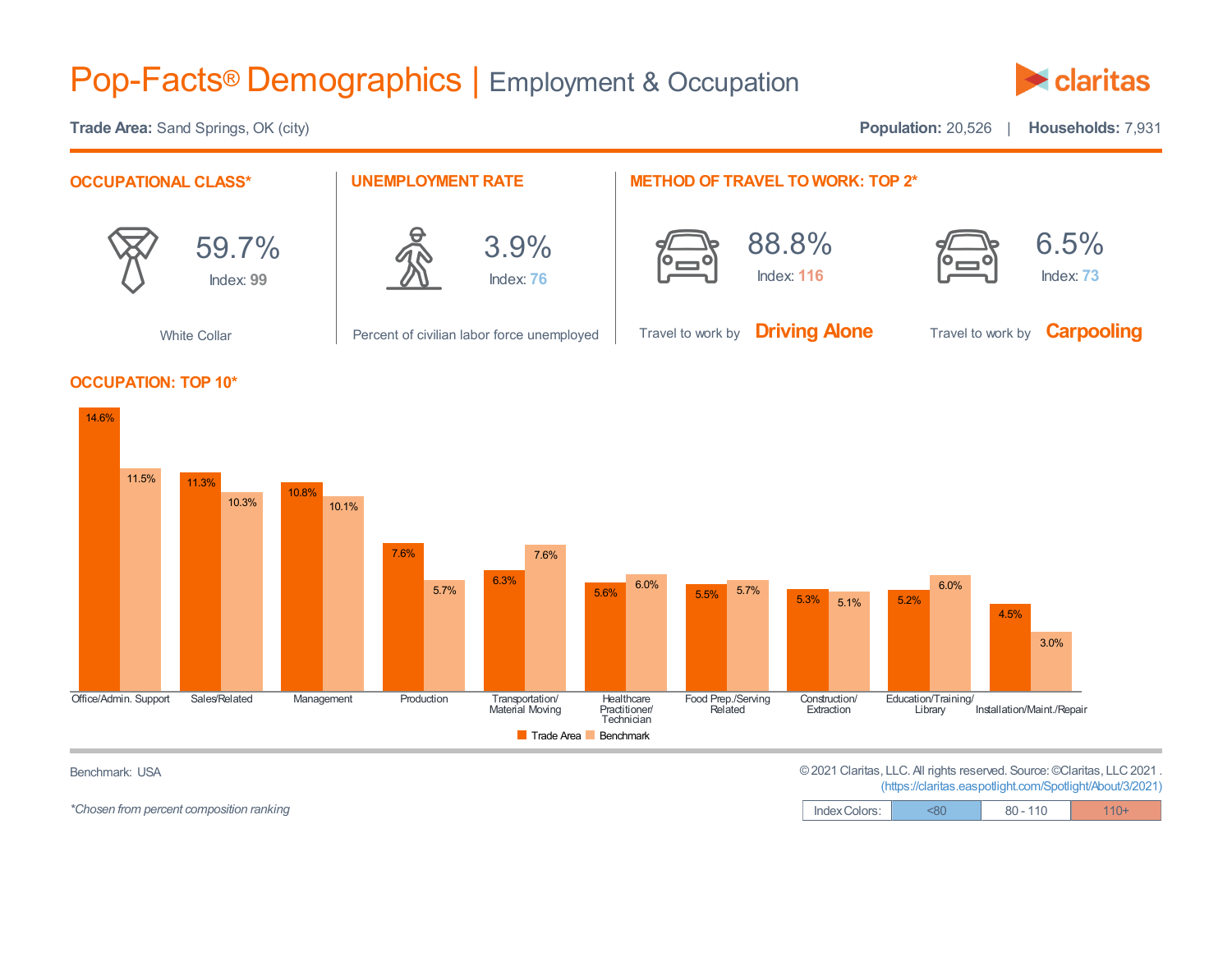## Pop-Facts® Demographics | Employment & Occupation



**Trade Area:** Sand Springs, OK (city) **Population:** 20,526 | **Households:** 7,931





*\*Chosen* from percent composition ranking

Benchmark: USA ©2021 Claritas, LLC. All rights reserved. Source:©Claritas, LLC2021 .

(https://claritas.easpotlight.com/Spotlight/About/3/2021)

| Index Colors: | <80 | $80 - 110$ | $110+$ |
|---------------|-----|------------|--------|
|---------------|-----|------------|--------|